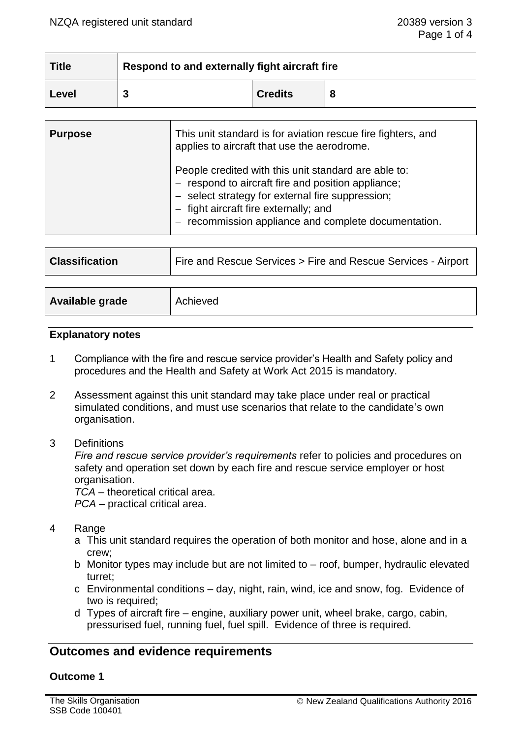| <b>Title</b> | Respond to and externally fight aircraft fire |                |   |
|--------------|-----------------------------------------------|----------------|---|
| Level        |                                               | <b>Credits</b> | 8 |

| <b>Purpose</b> | This unit standard is for aviation rescue fire fighters, and<br>applies to aircraft that use the aerodrome.                                                                                                                                                 |
|----------------|-------------------------------------------------------------------------------------------------------------------------------------------------------------------------------------------------------------------------------------------------------------|
|                | People credited with this unit standard are able to:<br>respond to aircraft fire and position appliance;<br>- select strategy for external fire suppression;<br>- fight aircraft fire externally; and<br>recommission appliance and complete documentation. |

| Fire and Rescue Services > Fire and Rescue Services - Airport<br><b>Classification</b> |
|----------------------------------------------------------------------------------------|
|----------------------------------------------------------------------------------------|

| Available grade | Achieved |
|-----------------|----------|
|                 |          |

## **Explanatory notes**

- 1 Compliance with the fire and rescue service provider's Health and Safety policy and procedures and the Health and Safety at Work Act 2015 is mandatory.
- 2 Assessment against this unit standard may take place under real or practical simulated conditions, and must use scenarios that relate to the candidate's own organisation.
- 3 Definitions

*Fire and rescue service provider's requirements* refer to policies and procedures on safety and operation set down by each fire and rescue service employer or host organisation.

*TCA* – theoretical critical area.

*PCA* – practical critical area.

- 4 Range
	- a This unit standard requires the operation of both monitor and hose, alone and in a crew;
	- b Monitor types may include but are not limited to roof, bumper, hydraulic elevated turret;
	- c Environmental conditions day, night, rain, wind, ice and snow, fog. Evidence of two is required;
	- d Types of aircraft fire engine, auxiliary power unit, wheel brake, cargo, cabin, pressurised fuel, running fuel, fuel spill. Evidence of three is required.

# **Outcomes and evidence requirements**

## **Outcome 1**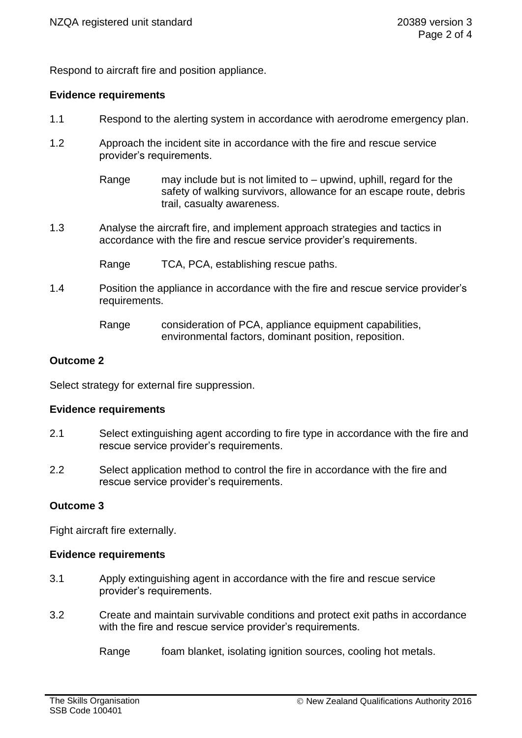Respond to aircraft fire and position appliance.

## **Evidence requirements**

- 1.1 Respond to the alerting system in accordance with aerodrome emergency plan.
- 1.2 Approach the incident site in accordance with the fire and rescue service provider's requirements.
	- Range may include but is not limited to upwind, uphill, regard for the safety of walking survivors, allowance for an escape route, debris trail, casualty awareness.
- 1.3 Analyse the aircraft fire, and implement approach strategies and tactics in accordance with the fire and rescue service provider's requirements.
	- Range TCA, PCA, establishing rescue paths.
- 1.4 Position the appliance in accordance with the fire and rescue service provider's requirements.

## **Outcome 2**

Select strategy for external fire suppression.

#### **Evidence requirements**

- 2.1 Select extinguishing agent according to fire type in accordance with the fire and rescue service provider's requirements.
- 2.2 Select application method to control the fire in accordance with the fire and rescue service provider's requirements.

## **Outcome 3**

Fight aircraft fire externally.

#### **Evidence requirements**

- 3.1 Apply extinguishing agent in accordance with the fire and rescue service provider's requirements.
- 3.2 Create and maintain survivable conditions and protect exit paths in accordance with the fire and rescue service provider's requirements.

Range foam blanket, isolating ignition sources, cooling hot metals.

Range consideration of PCA, appliance equipment capabilities, environmental factors, dominant position, reposition.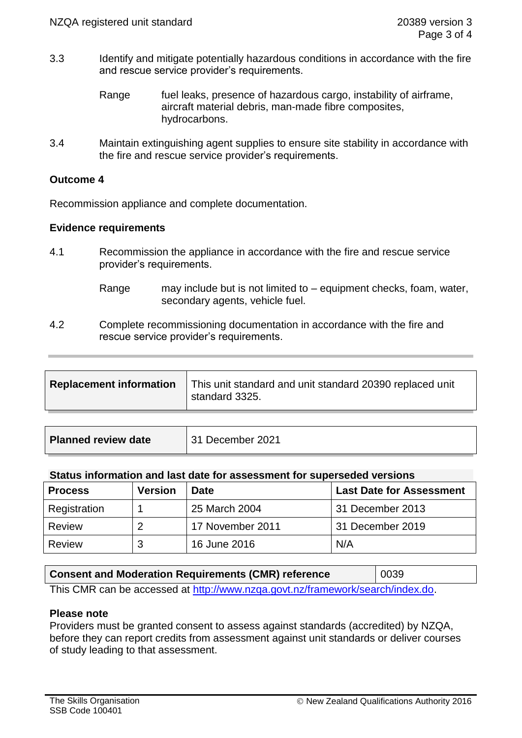- 3.3 Identify and mitigate potentially hazardous conditions in accordance with the fire and rescue service provider's requirements.
	- Range fuel leaks, presence of hazardous cargo, instability of airframe, aircraft material debris, man-made fibre composites, hydrocarbons.
- 3.4 Maintain extinguishing agent supplies to ensure site stability in accordance with the fire and rescue service provider's requirements.

## **Outcome 4**

Recommission appliance and complete documentation.

## **Evidence requirements**

- 4.1 Recommission the appliance in accordance with the fire and rescue service provider's requirements.
	- Range may include but is not limited to equipment checks, foam, water, secondary agents, vehicle fuel.
- 4.2 Complete recommissioning documentation in accordance with the fire and rescue service provider's requirements.

| <b>Planned review date</b> | 31 December 2021 |
|----------------------------|------------------|
|                            |                  |

#### **Status information and last date for assessment for superseded versions**

| <b>Process</b> | <b>Version</b> | <b>Date</b>      | <b>Last Date for Assessment</b> |
|----------------|----------------|------------------|---------------------------------|
| Registration   |                | 25 March 2004    | 31 December 2013                |
| Review         |                | 17 November 2011 | 31 December 2019                |
| Review         | 3              | 16 June 2016     | N/A                             |

| <b>Consent and Moderation Requirements (CMR) reference</b>                         | 0039 |  |
|------------------------------------------------------------------------------------|------|--|
| . This OND san ha assessed at http://www.in-as-as-it.n-/frame.wark/saarah/index.de |      |  |

This CMR can be accessed at [http://www.nzqa.govt.nz/framework/search/index.do.](http://www.nzqa.govt.nz/framework/search/index.do)

## **Please note**

Providers must be granted consent to assess against standards (accredited) by NZQA, before they can report credits from assessment against unit standards or deliver courses of study leading to that assessment.